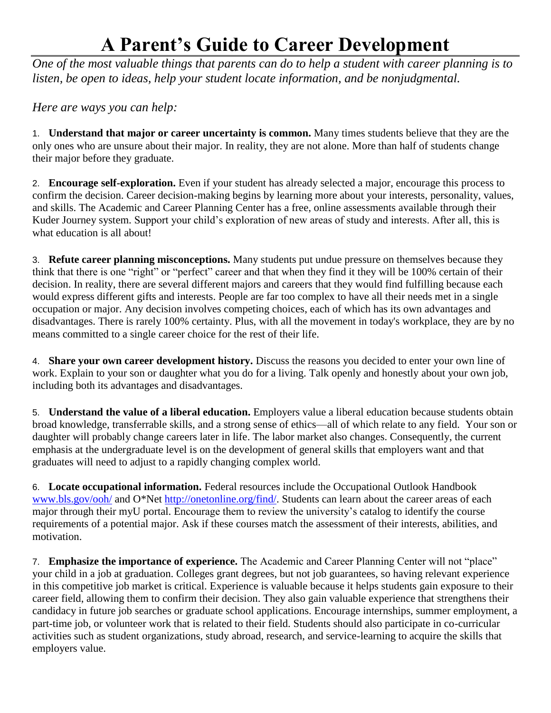## **A Parent's Guide to Career Development**

*One of the most valuable things that parents can do to help a student with career planning is to listen, be open to ideas, help your student locate information, and be nonjudgmental.*

*Here are ways you can help:*

1. **Understand that major or career uncertainty is common.** Many times students believe that they are the only ones who are unsure about their major. In reality, they are not alone. More than half of students change their major before they graduate.

2. **Encourage self-exploration.** Even if your student has already selected a major, encourage this process to confirm the decision. Career decision-making begins by learning more about your interests, personality, values, and skills. The Academic and Career Planning Center has a free, online assessments available through their Kuder Journey system. Support your child's exploration of new areas of study and interests. After all, this is what education is all about!

3. **Refute career planning misconceptions.** Many students put undue pressure on themselves because they think that there is one "right" or "perfect" career and that when they find it they will be 100% certain of their decision. In reality, there are several different majors and careers that they would find fulfilling because each would express different gifts and interests. People are far too complex to have all their needs met in a single occupation or major. Any decision involves competing choices, each of which has its own advantages and disadvantages. There is rarely 100% certainty. Plus, with all the movement in today's workplace, they are by no means committed to a single career choice for the rest of their life.

4. **Share your own career development history.** Discuss the reasons you decided to enter your own line of work. Explain to your son or daughter what you do for a living. Talk openly and honestly about your own job, including both its advantages and disadvantages.

5. **Understand the value of a liberal education.** Employers value a liberal education because students obtain broad knowledge, transferrable skills, and a strong sense of ethics—all of which relate to any field. Your son or daughter will probably change careers later in life. The labor market also changes. Consequently, the current emphasis at the undergraduate level is on the development of general skills that employers want and that graduates will need to adjust to a rapidly changing complex world.

6. **Locate occupational information.** Federal resources include the Occupational Outlook Handbook [www.bls.gov/ooh/](http://www.bls.gov/ooh/) and O\*Net [http://onetonline.org/find/.](http://onetonline.org/find/) Students can learn about the career areas of each major through their myU portal. Encourage them to review the university's catalog to identify the course requirements of a potential major. Ask if these courses match the assessment of their interests, abilities, and motivation.

7. **Emphasize the importance of experience.** The Academic and Career Planning Center will not "place" your child in a job at graduation. Colleges grant degrees, but not job guarantees, so having relevant experience in this competitive job market is critical. Experience is valuable because it helps students gain exposure to their career field, allowing them to confirm their decision. They also gain valuable experience that strengthens their candidacy in future job searches or graduate school applications. Encourage internships, summer employment, a part-time job, or volunteer work that is related to their field. Students should also participate in co-curricular activities such as student organizations, study abroad, research, and service-learning to acquire the skills that employers value.